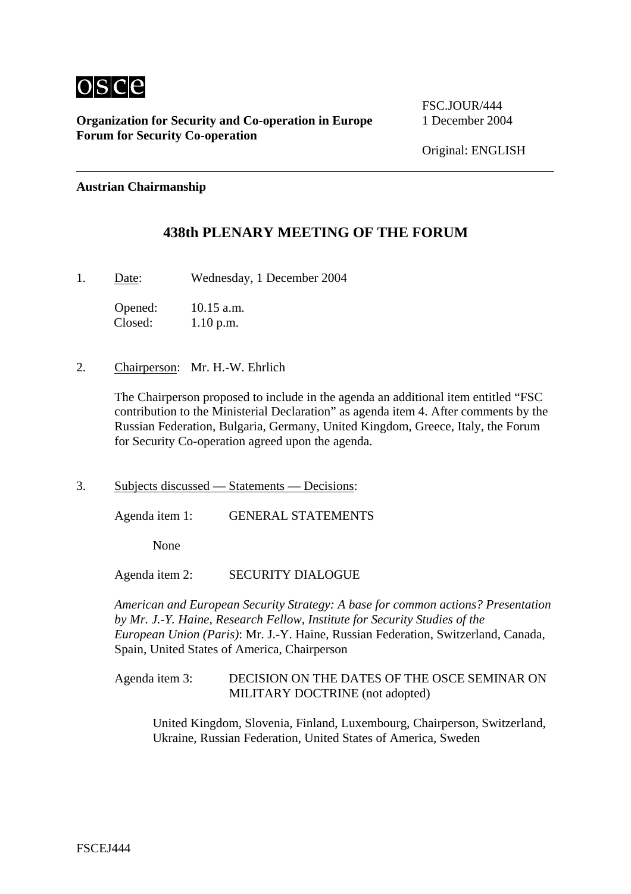

**Organization for Security and Co-operation in Europe** 1 December 2004 **Forum for Security Co-operation**

FSC.JOUR/444

### **Austrian Chairmanship**

# **438th PLENARY MEETING OF THE FORUM**

1. Date: Wednesday, 1 December 2004

Opened: 10.15 a.m. Closed: 1.10 p.m.

2. Chairperson: Mr. H.-W. Ehrlich

The Chairperson proposed to include in the agenda an additional item entitled "FSC contribution to the Ministerial Declaration" as agenda item 4. After comments by the Russian Federation, Bulgaria, Germany, United Kingdom, Greece, Italy, the Forum for Security Co-operation agreed upon the agenda.

3. Subjects discussed — Statements — Decisions:

Agenda item 1: GENERAL STATEMENTS

None

Agenda item 2: SECURITY DIALOGUE

*American and European Security Strategy: A base for common actions? Presentation by Mr. J.-Y. Haine, Research Fellow, Institute for Security Studies of the European Union (Paris)*: Mr. J.-Y. Haine, Russian Federation, Switzerland, Canada, Spain, United States of America, Chairperson

### Agenda item 3: DECISION ON THE DATES OF THE OSCE SEMINAR ON MILITARY DOCTRINE (not adopted)

United Kingdom, Slovenia, Finland, Luxembourg, Chairperson, Switzerland, Ukraine, Russian Federation, United States of America, Sweden